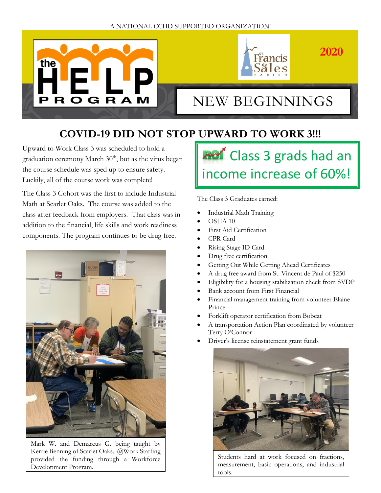



# NEW BEGINNINGS

# **COVID-19 DID NOT STOP UPWARD TO WORK 3!!!**

Upward to Work Class 3 was scheduled to hold a graduation ceremony March  $30<sup>th</sup>$ , but as the virus began the course schedule was sped up to ensure safety. Luckily, all of the course work was complete!

The Class 3 Cohort was the first to include Industrial Math at Scarlet Oaks. The course was added to the class after feedback from employers. That class was in addition to the financial, life skills and work readiness components. The program continues to be drug free.



Mark W. and Demarcus G. being taught by Kerrie Benning of Scarlet Oaks. @Work Staffing provided the funding through a Workforce Development Program.

### **Ref** Class 3 grads had an income increase of 60%! I

The Class 3 Graduates earned:

- Industrial Math Training
- OSHA 10
- First Aid Certification
- CPR Card
- Rising Stage ID Card
- Drug free certification
- Getting Out While Getting Ahead Certificates
- A drug free award from St. Vincent de Paul of \$250
- Eligibility for a housing stabilization check from SVDP
- Bank account from First Financial
- Financial management training from volunteer Elaine Prince
- Forklift operator certification from Bobcat
- A transportation Action Plan coordinated by volunteer Terry O'Connor
- Driver's license reinstatement grant funds



Students hard at work focused on fractions, measurement, basic operations, and industrial tools.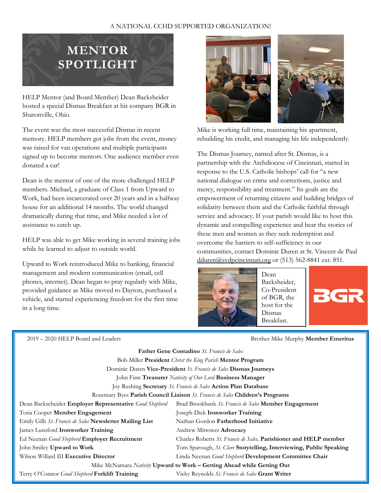

HELP Mentor (and Board Member) Dean Backsheider hosted a special Dismas Breakfast at his company BGR in Sharonville, Ohio.

The event was the most successful Dismas in recent memory. HELP members got jobs from the event, money was raised for van operations and multiple participants signed up to become mentors. One audience member even donated a car!

Dean is the mentor of one of the more challenged HELP members. Michael, a graduate of Class 1 from Upward to Work, had been incarcerated over 20 years and in a halfway house for an additional 14 months. The world changed dramatically during that time, and Mike needed a lot of assistance to catch up.

HELP was able to get Mike working in several training jobs while he learned to adjust to outside world.

Upward to Work reintroduced Mike to banking, financial management and modern communication (email, cell phones, internet). Dean began to pray regularly with Mike, provided guidance as Mike moved to Dayton, purchased a vehicle, and started experiencing freedom for the first time in a long time.



Mike is working full time, maintaining his apartment, rebuilding his credit, and managing his life independently.

The Dismas Journey, named after St. Dismas, is a partnership with the Archdiocese of Cincinnati, started in response to the U.S. Catholic bishops' call for "a new national dialogue on crime and corrections, justice and mercy, responsibility and treatment." Its goals are the empowerment of returning citizens and building bridges of solidarity between them and the Catholic faithful through service and advocacy. If your parish would like to host this dynamic and compelling experience and hear the stories of these men and women as they seek redemption and overcome the barriers to self-sufficiency in our communities, contact Dominic Duren at St. Vincent de Paul [dduren@svdpcincinnati.org](mailto:dduren@svdpcincinnati.org) or (513) 562-8841 ext. 851.



Dean Backsheider, Co-President of BGR, the host for the Dismas Breakfast.



2019 – 2020 HELP Board and Leaders Brother Mike Murphy **Member Emeritus**

| <b>Father Gene Contadino</b> St. Francis de Sales                             |                                                                     |  |  |
|-------------------------------------------------------------------------------|---------------------------------------------------------------------|--|--|
| Bob Miller President Christ the King Parish Mentor Program                    |                                                                     |  |  |
| Dominic Duren Vice-President St. Francis de Sales Dismas Journeys             |                                                                     |  |  |
| John Finn Treasurer Nativity of Our Lord Business Manager                     |                                                                     |  |  |
| Joy Rushing Secretary St. Francis de Sales Action Plan Database               |                                                                     |  |  |
| Rosemary Byes Parish Council Liaison St. Francis de Sales Children's Programs |                                                                     |  |  |
| Dean Backscheider Employer Representative Good Shepherd                       | Brad Brookbank St. Francis de Sales Member Engagement               |  |  |
| Toria Cooper Member Engagement                                                | Joseph Dick Ironworker Training                                     |  |  |
| Emily Gilb St. Francis de Sales Newsletter Mailing List                       | Nathan Gordon Fatherhood Initiative                                 |  |  |
| James Lunsford Ironworker Training                                            | Andrew Mittower Advocacy                                            |  |  |
| Ed Neenan Good Shepherd Employer Recruitment                                  | Charles Roberts St. Francis de Sales, Parishioner and HELP member   |  |  |
| John Smiley Upward to Work                                                    | Tom Sparough, St. Clare Storytelling, Interviewing, Public Speaking |  |  |
| Wilson Willard III Executive Director                                         | Linda Neenan Good Shepherd Development Committee Chair              |  |  |
| Mike McNamara Nativity Upward to Work – Getting Ahead while Getting Out       |                                                                     |  |  |
| Terry O'Connor Good Shepherd Forklift Training                                | Vicky Reynolds St. Francis de Sales Grant Writer                    |  |  |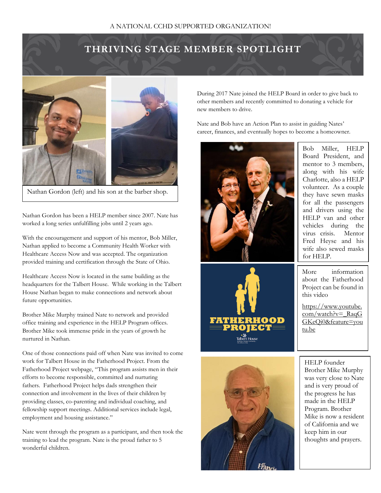## **THRIVING STAGE MEMBER SPOTLIGHT**



Nathan Gordon (left) and his son at the barber shop.

Nathan Gordon has been a HELP member since 2007. Nate has worked a long series unfulfilling jobs until 2 years ago.

With the encouragement and support of his mentor, Bob Miller, Nathan applied to become a Community Health Worker with Healthcare Access Now and was accepted. The organization provided training and certification through the State of Ohio.

Healthcare Access Now is located in the same building as the headquarters for the Talbert House. While working in the Talbert House Nathan began to make connections and network about future opportunities.

Brother Mike Murphy trained Nate to network and provided office training and experience in the HELP Program offices. Brother Mike took immense pride in the years of growth he nurtured in Nathan.

One of those connections paid off when Nate was invited to come work for Talbert House in the Fatherhood Project. From the Fatherhood Project webpage, "This program assists men in their efforts to become responsible, committed and nurturing fathers. Fatherhood Project helps dads strengthen their connection and involvement in the lives of their children by providing classes, co-parenting and individual coaching, and fellowship support meetings. Additional services include legal, employment and housing assistance."

Nate went through the program as a participant, and then took the training to lead the program. Nate is the proud father to 5 wonderful children.

During 2017 Nate joined the HELP Board in order to give back to other members and recently committed to donating a vehicle for new members to drive.

Nate and Bob have an Action Plan to assist in guiding Nates' career, finances, and eventually hopes to become a homeowner.